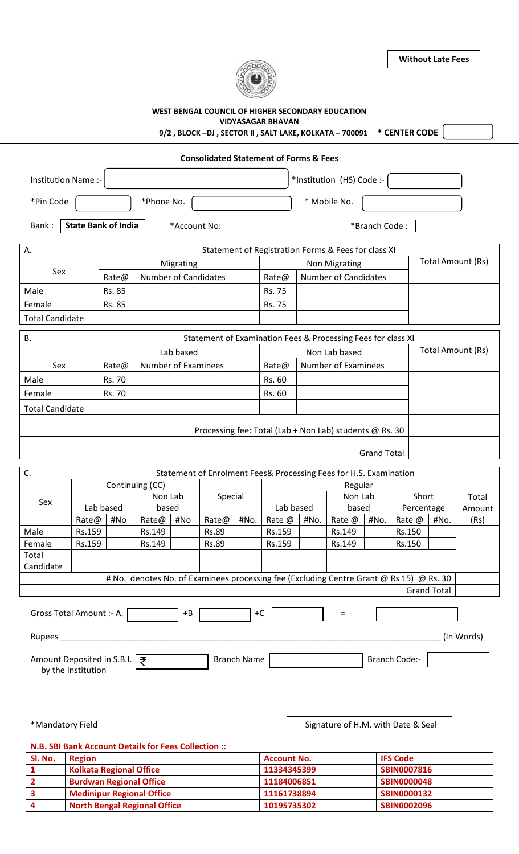

**Without Late Fees**

|                                |                    |                            |                             |              |                      |             | <b>VIDYASAGAR BHAVAN</b>                          |                             | WEST BENGAL COUNCIL OF HIGHER SECONDARY EDUCATION<br>9/2, BLOCK-DJ, SECTOR II, SALT LAKE, KOLKATA - 700091 * CENTER CODE |                    |                      |                    |                   |
|--------------------------------|--------------------|----------------------------|-----------------------------|--------------|----------------------|-------------|---------------------------------------------------|-----------------------------|--------------------------------------------------------------------------------------------------------------------------|--------------------|----------------------|--------------------|-------------------|
|                                |                    |                            |                             |              |                      |             | <b>Consolidated Statement of Forms &amp; Fees</b> |                             |                                                                                                                          |                    |                      |                    |                   |
| Institution Name :-            |                    |                            |                             |              |                      |             |                                                   |                             | *Institution (HS) Code :-                                                                                                |                    |                      |                    |                   |
| *Pin Code                      |                    | * Mobile No.<br>*Phone No. |                             |              |                      |             |                                                   |                             |                                                                                                                          |                    |                      |                    |                   |
| Bank:                          |                    | <b>State Bank of India</b> |                             | *Account No: |                      |             |                                                   |                             |                                                                                                                          | *Branch Code:      |                      |                    |                   |
| А.                             |                    |                            |                             |              |                      |             |                                                   |                             | Statement of Registration Forms & Fees for class XI                                                                      |                    |                      |                    |                   |
|                                |                    |                            | Migrating                   |              | <b>Non Migrating</b> |             |                                                   |                             |                                                                                                                          | Total Amount (Rs)  |                      |                    |                   |
| Sex                            |                    | Rate@                      | <b>Number of Candidates</b> |              |                      |             | Rate@                                             | <b>Number of Candidates</b> |                                                                                                                          |                    |                      |                    |                   |
| Male                           |                    | Rs. 85                     |                             |              |                      |             | Rs. 75                                            |                             |                                                                                                                          |                    |                      |                    |                   |
| Female                         |                    | Rs. 85                     |                             |              |                      |             | Rs. 75                                            |                             |                                                                                                                          |                    |                      |                    |                   |
| <b>Total Candidate</b>         |                    |                            |                             |              |                      |             |                                                   |                             |                                                                                                                          |                    |                      |                    |                   |
| <b>B.</b>                      |                    |                            |                             |              |                      |             |                                                   |                             | Statement of Examination Fees & Processing Fees for class XI                                                             |                    |                      |                    |                   |
|                                |                    |                            |                             | Lab based    |                      |             |                                                   |                             | Non Lab based                                                                                                            |                    |                      |                    | Total Amount (Rs) |
| Sex                            |                    | Rate@                      | Number of Examinees         |              |                      |             | Rate@                                             | <b>Number of Examinees</b>  |                                                                                                                          |                    |                      |                    |                   |
| Male                           | Rs. 70             |                            |                             |              |                      | Rs. 60      |                                                   |                             |                                                                                                                          |                    |                      |                    |                   |
| Female<br>Rs. 70               |                    |                            |                             |              | Rs. 60               |             |                                                   |                             |                                                                                                                          |                    |                      |                    |                   |
| <b>Total Candidate</b>         |                    |                            |                             |              |                      |             |                                                   |                             |                                                                                                                          |                    |                      |                    |                   |
|                                |                    |                            |                             |              |                      |             |                                                   |                             | Processing fee: Total (Lab + Non Lab) students @ Rs. 30                                                                  |                    |                      |                    |                   |
|                                |                    |                            |                             |              |                      |             |                                                   |                             |                                                                                                                          | <b>Grand Total</b> |                      |                    |                   |
| C.                             |                    |                            |                             |              |                      |             |                                                   |                             | Statement of Enrolment Fees& Processing Fees for H.S. Examination                                                        |                    |                      |                    |                   |
|                                |                    |                            | Continuing (CC)             |              |                      |             |                                                   |                             | Regular                                                                                                                  |                    |                      |                    |                   |
|                                |                    |                            | Non Lab                     |              | Special              |             | Non Lab                                           |                             |                                                                                                                          | Short              |                      | Total              |                   |
| Sex                            | Lab based          |                            | based                       |              |                      |             | Lab based                                         |                             | based                                                                                                                    |                    | Percentage           |                    | Amount            |
|                                | Rate@<br>#No       |                            | Rate@                       | #No          | Rate@                | #No.        | Rate @                                            | #No.                        | Rate @                                                                                                                   | #No.               | Rate @               | #No.               | (Rs)              |
| Male                           | Rs.159             |                            | Rs.149                      |              | Rs.89                |             | Rs.159                                            |                             | Rs.149                                                                                                                   |                    | Rs.150               |                    |                   |
| Female                         | Rs.159             |                            | Rs.149                      |              | Rs.89                |             | Rs.159                                            |                             | Rs.149                                                                                                                   |                    | Rs.150               |                    |                   |
| Total<br>Candidate             |                    |                            |                             |              |                      |             |                                                   |                             |                                                                                                                          |                    |                      |                    |                   |
|                                |                    |                            |                             |              |                      |             |                                                   |                             | # No. denotes No. of Examinees processing fee (Excluding Centre Grant @ Rs 15) @ Rs. 30                                  |                    |                      |                    |                   |
|                                |                    |                            |                             |              |                      |             |                                                   |                             |                                                                                                                          |                    |                      | <b>Grand Total</b> |                   |
| Gross Total Amount :- A.       |                    |                            |                             | $+B$         |                      | $+C$        |                                                   |                             | $=$                                                                                                                      |                    |                      |                    |                   |
|                                |                    |                            |                             |              |                      |             |                                                   |                             |                                                                                                                          |                    |                      |                    | (In Words)        |
| Amount Deposited in S.B.I.   ₹ | by the Institution |                            |                             |              |                      | Branch Name |                                                   |                             |                                                                                                                          |                    | <b>Branch Code:-</b> |                    |                   |
|                                |                    |                            |                             |              |                      |             |                                                   |                             |                                                                                                                          |                    |                      |                    |                   |
| *Mandatory Field               |                    |                            |                             |              |                      |             |                                                   |                             | Signature of H.M. with Date & Seal                                                                                       |                    |                      |                    |                   |

**N.B. SBI Bank Account Details for Fees Collection ::**

| Sl. No. | <b>Region</b>                       | <b>Account No.</b> | <b>IFS Code</b>    |
|---------|-------------------------------------|--------------------|--------------------|
|         | <b>Kolkata Regional Office</b>      | 11334345399        | <b>SBIN0007816</b> |
|         | <b>Burdwan Regional Office</b>      | 11184006851        | <b>SBIN0000048</b> |
|         | <b>Medinipur Regional Office</b>    | 11161738894        | <b>SBIN0000132</b> |
|         | <b>North Bengal Regional Office</b> | 10195735302        | SBIN0002096        |